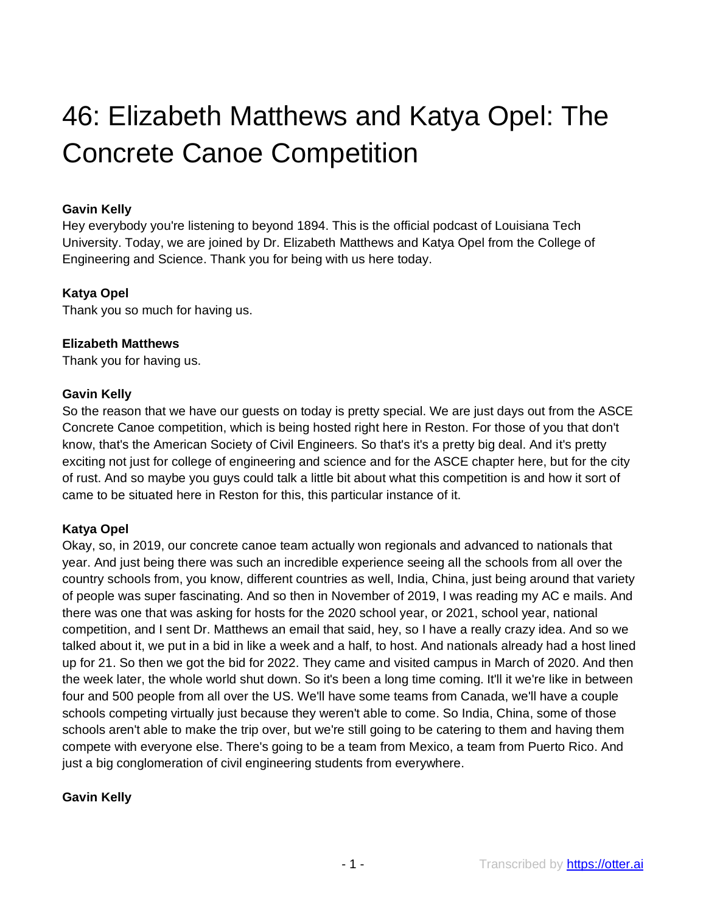# 46: Elizabeth Matthews and Katya Opel: The Concrete Canoe Competition

#### **Gavin Kelly**

Hey everybody you're listening to beyond 1894. This is the official podcast of Louisiana Tech University. Today, we are joined by Dr. Elizabeth Matthews and Katya Opel from the College of Engineering and Science. Thank you for being with us here today.

#### **Katya Opel**

Thank you so much for having us.

#### **Elizabeth Matthews**

Thank you for having us.

#### **Gavin Kelly**

So the reason that we have our guests on today is pretty special. We are just days out from the ASCE Concrete Canoe competition, which is being hosted right here in Reston. For those of you that don't know, that's the American Society of Civil Engineers. So that's it's a pretty big deal. And it's pretty exciting not just for college of engineering and science and for the ASCE chapter here, but for the city of rust. And so maybe you guys could talk a little bit about what this competition is and how it sort of came to be situated here in Reston for this, this particular instance of it.

#### **Katya Opel**

Okay, so, in 2019, our concrete canoe team actually won regionals and advanced to nationals that year. And just being there was such an incredible experience seeing all the schools from all over the country schools from, you know, different countries as well, India, China, just being around that variety of people was super fascinating. And so then in November of 2019, I was reading my AC e mails. And there was one that was asking for hosts for the 2020 school year, or 2021, school year, national competition, and I sent Dr. Matthews an email that said, hey, so I have a really crazy idea. And so we talked about it, we put in a bid in like a week and a half, to host. And nationals already had a host lined up for 21. So then we got the bid for 2022. They came and visited campus in March of 2020. And then the week later, the whole world shut down. So it's been a long time coming. It'll it we're like in between four and 500 people from all over the US. We'll have some teams from Canada, we'll have a couple schools competing virtually just because they weren't able to come. So India, China, some of those schools aren't able to make the trip over, but we're still going to be catering to them and having them compete with everyone else. There's going to be a team from Mexico, a team from Puerto Rico. And just a big conglomeration of civil engineering students from everywhere.

#### **Gavin Kelly**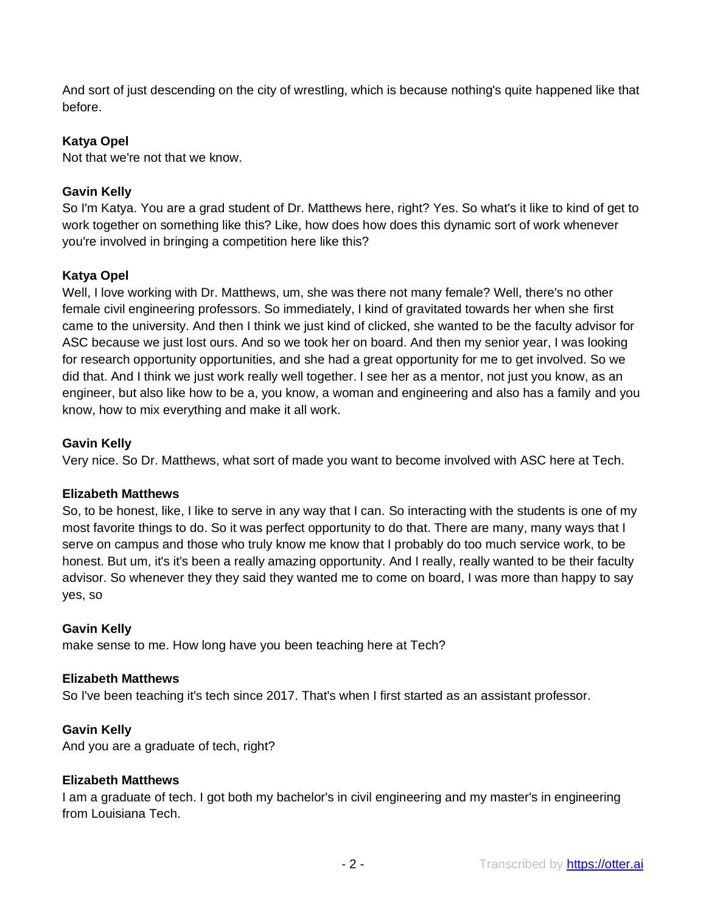And sort of just descending on the city of wrestling, which is because nothing's quite happened like that before.

#### **Katya Opel**

Not that we're not that we know.

#### **Gavin Kelly**

So I'm Katya. You are a grad student of Dr. Matthews here, right? Yes. So what's it like to kind of get to work together on something like this? Like, how does how does this dynamic sort of work whenever you're involved in bringing a competition here like this?

#### **Katya Opel**

Well, I love working with Dr. Matthews, um, she was there not many female? Well, there's no other female civil engineering professors. So immediately, I kind of gravitated towards her when she first came to the university. And then I think we just kind of clicked, she wanted to be the faculty advisor for ASC because we just lost ours. And so we took her on board. And then my senior year, I was looking for research opportunity opportunities, and she had a great opportunity for me to get involved. So we did that. And I think we just work really well together. I see her as a mentor, not just you know, as an engineer, but also like how to be a, you know, a woman and engineering and also has a family and you know, how to mix everything and make it all work.

#### **Gavin Kelly**

Very nice. So Dr. Matthews, what sort of made you want to become involved with ASC here at Tech.

#### **Elizabeth Matthews**

So, to be honest, like, I like to serve in any way that I can. So interacting with the students is one of my most favorite things to do. So it was perfect opportunity to do that. There are many, many ways that I serve on campus and those who truly know me know that I probably do too much service work, to be honest. But um, it's it's been a really amazing opportunity. And I really, really wanted to be their faculty advisor. So whenever they they said they wanted me to come on board, I was more than happy to say yes, so

#### **Gavin Kelly**

make sense to me. How long have you been teaching here at Tech?

#### **Elizabeth Matthews**

So I've been teaching it's tech since 2017. That's when I first started as an assistant professor.

#### **Gavin Kelly**

And you are a graduate of tech, right?

#### **Elizabeth Matthews**

I am a graduate of tech. I got both my bachelor's in civil engineering and my master's in engineering from Louisiana Tech.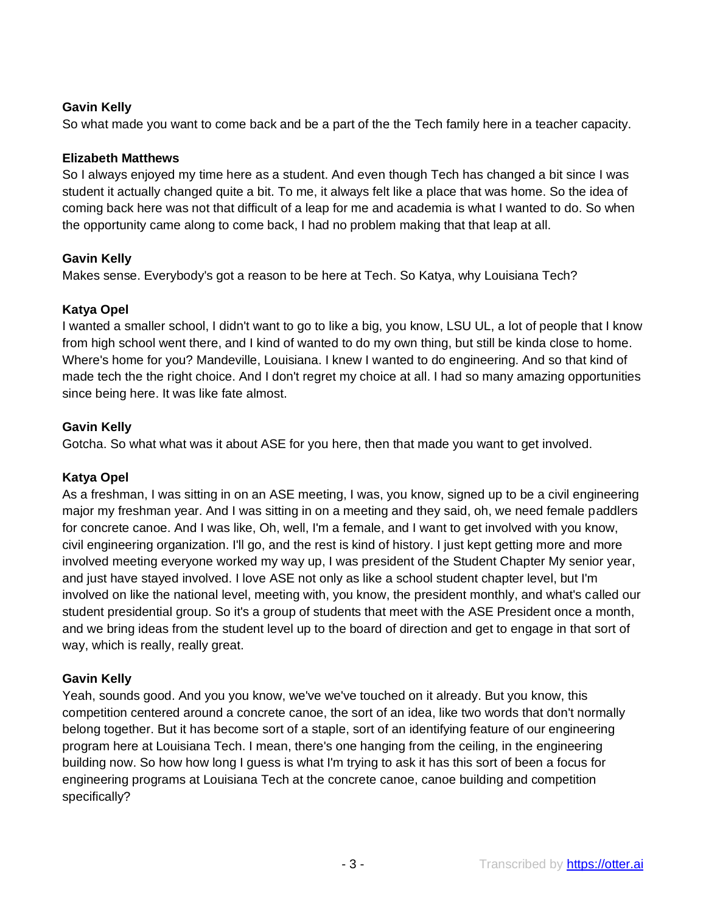# **Gavin Kelly**

So what made you want to come back and be a part of the the Tech family here in a teacher capacity.

# **Elizabeth Matthews**

So I always enjoyed my time here as a student. And even though Tech has changed a bit since I was student it actually changed quite a bit. To me, it always felt like a place that was home. So the idea of coming back here was not that difficult of a leap for me and academia is what I wanted to do. So when the opportunity came along to come back, I had no problem making that that leap at all.

# **Gavin Kelly**

Makes sense. Everybody's got a reason to be here at Tech. So Katya, why Louisiana Tech?

# **Katya Opel**

I wanted a smaller school, I didn't want to go to like a big, you know, LSU UL, a lot of people that I know from high school went there, and I kind of wanted to do my own thing, but still be kinda close to home. Where's home for you? Mandeville, Louisiana. I knew I wanted to do engineering. And so that kind of made tech the the right choice. And I don't regret my choice at all. I had so many amazing opportunities since being here. It was like fate almost.

# **Gavin Kelly**

Gotcha. So what what was it about ASE for you here, then that made you want to get involved.

# **Katya Opel**

As a freshman, I was sitting in on an ASE meeting, I was, you know, signed up to be a civil engineering major my freshman year. And I was sitting in on a meeting and they said, oh, we need female paddlers for concrete canoe. And I was like, Oh, well, I'm a female, and I want to get involved with you know, civil engineering organization. I'll go, and the rest is kind of history. I just kept getting more and more involved meeting everyone worked my way up, I was president of the Student Chapter My senior year, and just have stayed involved. I love ASE not only as like a school student chapter level, but I'm involved on like the national level, meeting with, you know, the president monthly, and what's called our student presidential group. So it's a group of students that meet with the ASE President once a month, and we bring ideas from the student level up to the board of direction and get to engage in that sort of way, which is really, really great.

# **Gavin Kelly**

Yeah, sounds good. And you you know, we've we've touched on it already. But you know, this competition centered around a concrete canoe, the sort of an idea, like two words that don't normally belong together. But it has become sort of a staple, sort of an identifying feature of our engineering program here at Louisiana Tech. I mean, there's one hanging from the ceiling, in the engineering building now. So how how long I guess is what I'm trying to ask it has this sort of been a focus for engineering programs at Louisiana Tech at the concrete canoe, canoe building and competition specifically?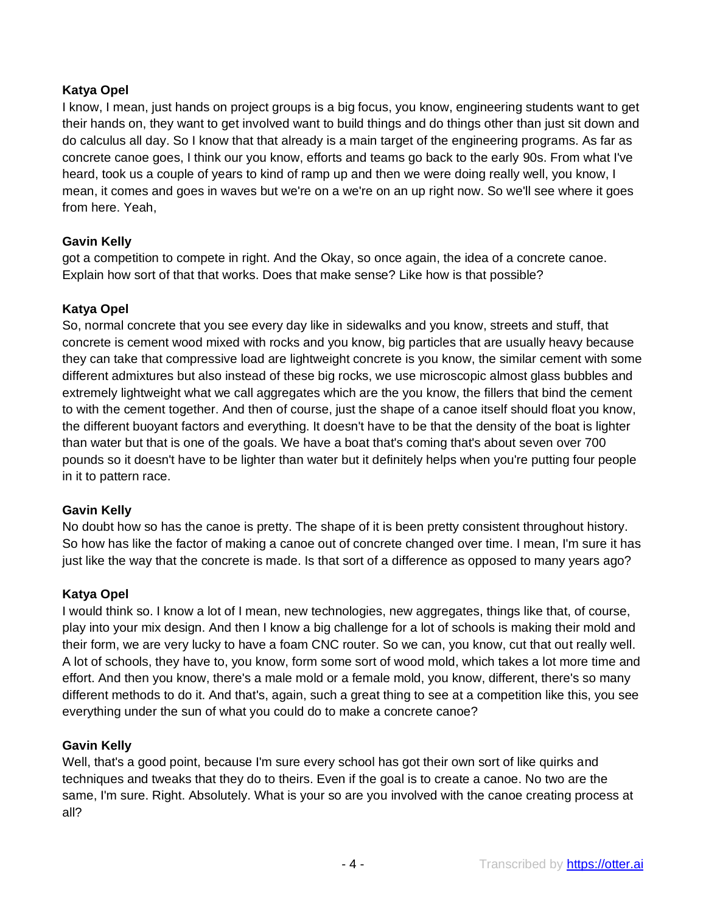## **Katya Opel**

I know, I mean, just hands on project groups is a big focus, you know, engineering students want to get their hands on, they want to get involved want to build things and do things other than just sit down and do calculus all day. So I know that that already is a main target of the engineering programs. As far as concrete canoe goes, I think our you know, efforts and teams go back to the early 90s. From what I've heard, took us a couple of years to kind of ramp up and then we were doing really well, you know, I mean, it comes and goes in waves but we're on a we're on an up right now. So we'll see where it goes from here. Yeah,

# **Gavin Kelly**

got a competition to compete in right. And the Okay, so once again, the idea of a concrete canoe. Explain how sort of that that works. Does that make sense? Like how is that possible?

## **Katya Opel**

So, normal concrete that you see every day like in sidewalks and you know, streets and stuff, that concrete is cement wood mixed with rocks and you know, big particles that are usually heavy because they can take that compressive load are lightweight concrete is you know, the similar cement with some different admixtures but also instead of these big rocks, we use microscopic almost glass bubbles and extremely lightweight what we call aggregates which are the you know, the fillers that bind the cement to with the cement together. And then of course, just the shape of a canoe itself should float you know, the different buoyant factors and everything. It doesn't have to be that the density of the boat is lighter than water but that is one of the goals. We have a boat that's coming that's about seven over 700 pounds so it doesn't have to be lighter than water but it definitely helps when you're putting four people in it to pattern race.

## **Gavin Kelly**

No doubt how so has the canoe is pretty. The shape of it is been pretty consistent throughout history. So how has like the factor of making a canoe out of concrete changed over time. I mean, I'm sure it has just like the way that the concrete is made. Is that sort of a difference as opposed to many years ago?

## **Katya Opel**

I would think so. I know a lot of I mean, new technologies, new aggregates, things like that, of course, play into your mix design. And then I know a big challenge for a lot of schools is making their mold and their form, we are very lucky to have a foam CNC router. So we can, you know, cut that out really well. A lot of schools, they have to, you know, form some sort of wood mold, which takes a lot more time and effort. And then you know, there's a male mold or a female mold, you know, different, there's so many different methods to do it. And that's, again, such a great thing to see at a competition like this, you see everything under the sun of what you could do to make a concrete canoe?

## **Gavin Kelly**

Well, that's a good point, because I'm sure every school has got their own sort of like quirks and techniques and tweaks that they do to theirs. Even if the goal is to create a canoe. No two are the same, I'm sure. Right. Absolutely. What is your so are you involved with the canoe creating process at all?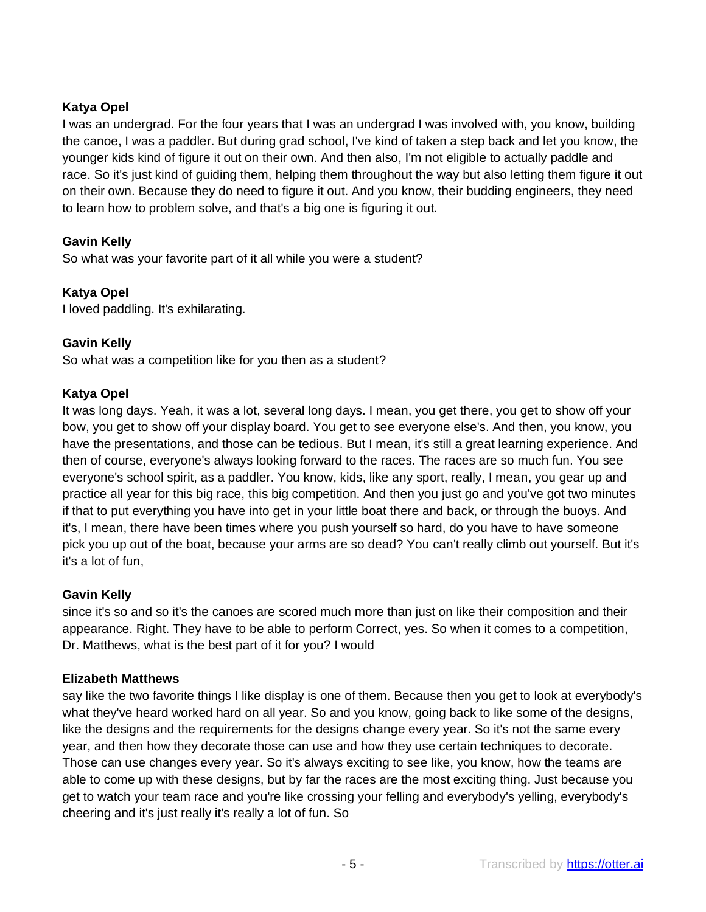# **Katya Opel**

I was an undergrad. For the four years that I was an undergrad I was involved with, you know, building the canoe, I was a paddler. But during grad school, I've kind of taken a step back and let you know, the younger kids kind of figure it out on their own. And then also, I'm not eligible to actually paddle and race. So it's just kind of guiding them, helping them throughout the way but also letting them figure it out on their own. Because they do need to figure it out. And you know, their budding engineers, they need to learn how to problem solve, and that's a big one is figuring it out.

# **Gavin Kelly**

So what was your favorite part of it all while you were a student?

# **Katya Opel**

I loved paddling. It's exhilarating.

## **Gavin Kelly**

So what was a competition like for you then as a student?

## **Katya Opel**

It was long days. Yeah, it was a lot, several long days. I mean, you get there, you get to show off your bow, you get to show off your display board. You get to see everyone else's. And then, you know, you have the presentations, and those can be tedious. But I mean, it's still a great learning experience. And then of course, everyone's always looking forward to the races. The races are so much fun. You see everyone's school spirit, as a paddler. You know, kids, like any sport, really, I mean, you gear up and practice all year for this big race, this big competition. And then you just go and you've got two minutes if that to put everything you have into get in your little boat there and back, or through the buoys. And it's, I mean, there have been times where you push yourself so hard, do you have to have someone pick you up out of the boat, because your arms are so dead? You can't really climb out yourself. But it's it's a lot of fun,

## **Gavin Kelly**

since it's so and so it's the canoes are scored much more than just on like their composition and their appearance. Right. They have to be able to perform Correct, yes. So when it comes to a competition, Dr. Matthews, what is the best part of it for you? I would

## **Elizabeth Matthews**

say like the two favorite things I like display is one of them. Because then you get to look at everybody's what they've heard worked hard on all year. So and you know, going back to like some of the designs, like the designs and the requirements for the designs change every year. So it's not the same every year, and then how they decorate those can use and how they use certain techniques to decorate. Those can use changes every year. So it's always exciting to see like, you know, how the teams are able to come up with these designs, but by far the races are the most exciting thing. Just because you get to watch your team race and you're like crossing your felling and everybody's yelling, everybody's cheering and it's just really it's really a lot of fun. So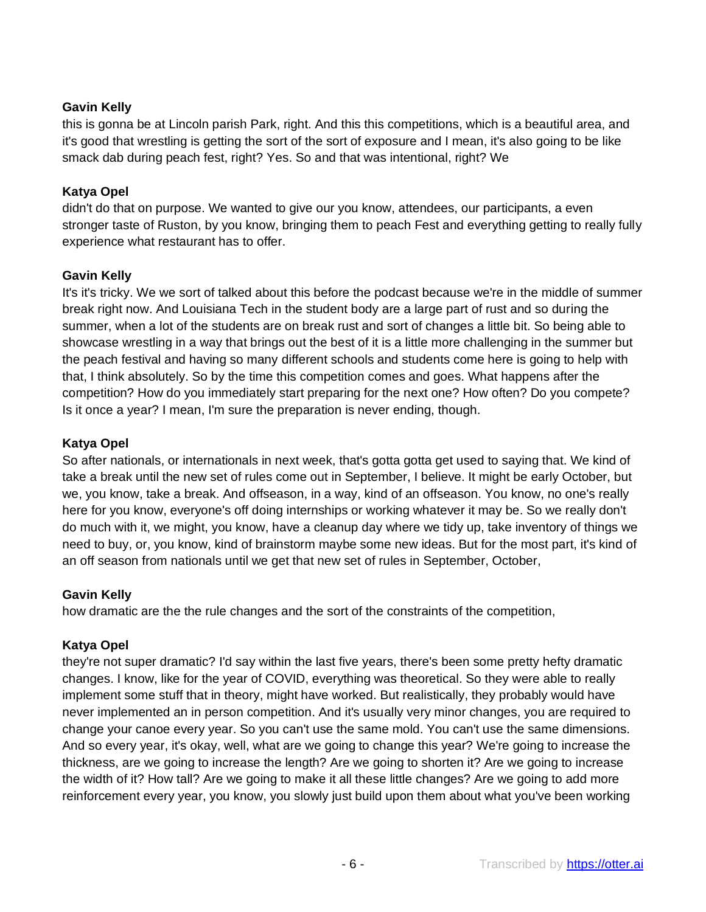# **Gavin Kelly**

this is gonna be at Lincoln parish Park, right. And this this competitions, which is a beautiful area, and it's good that wrestling is getting the sort of the sort of exposure and I mean, it's also going to be like smack dab during peach fest, right? Yes. So and that was intentional, right? We

# **Katya Opel**

didn't do that on purpose. We wanted to give our you know, attendees, our participants, a even stronger taste of Ruston, by you know, bringing them to peach Fest and everything getting to really fully experience what restaurant has to offer.

# **Gavin Kelly**

It's it's tricky. We we sort of talked about this before the podcast because we're in the middle of summer break right now. And Louisiana Tech in the student body are a large part of rust and so during the summer, when a lot of the students are on break rust and sort of changes a little bit. So being able to showcase wrestling in a way that brings out the best of it is a little more challenging in the summer but the peach festival and having so many different schools and students come here is going to help with that, I think absolutely. So by the time this competition comes and goes. What happens after the competition? How do you immediately start preparing for the next one? How often? Do you compete? Is it once a year? I mean, I'm sure the preparation is never ending, though.

# **Katya Opel**

So after nationals, or internationals in next week, that's gotta gotta get used to saying that. We kind of take a break until the new set of rules come out in September, I believe. It might be early October, but we, you know, take a break. And offseason, in a way, kind of an offseason. You know, no one's really here for you know, everyone's off doing internships or working whatever it may be. So we really don't do much with it, we might, you know, have a cleanup day where we tidy up, take inventory of things we need to buy, or, you know, kind of brainstorm maybe some new ideas. But for the most part, it's kind of an off season from nationals until we get that new set of rules in September, October,

## **Gavin Kelly**

how dramatic are the the rule changes and the sort of the constraints of the competition,

# **Katya Opel**

they're not super dramatic? I'd say within the last five years, there's been some pretty hefty dramatic changes. I know, like for the year of COVID, everything was theoretical. So they were able to really implement some stuff that in theory, might have worked. But realistically, they probably would have never implemented an in person competition. And it's usually very minor changes, you are required to change your canoe every year. So you can't use the same mold. You can't use the same dimensions. And so every year, it's okay, well, what are we going to change this year? We're going to increase the thickness, are we going to increase the length? Are we going to shorten it? Are we going to increase the width of it? How tall? Are we going to make it all these little changes? Are we going to add more reinforcement every year, you know, you slowly just build upon them about what you've been working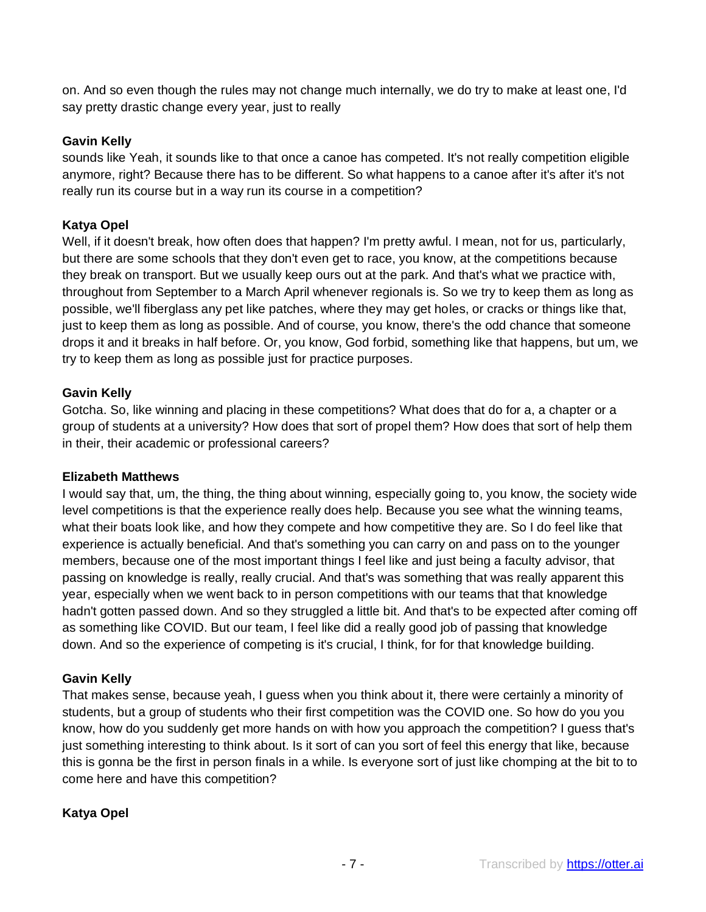on. And so even though the rules may not change much internally, we do try to make at least one, I'd say pretty drastic change every year, just to really

#### **Gavin Kelly**

sounds like Yeah, it sounds like to that once a canoe has competed. It's not really competition eligible anymore, right? Because there has to be different. So what happens to a canoe after it's after it's not really run its course but in a way run its course in a competition?

#### **Katya Opel**

Well, if it doesn't break, how often does that happen? I'm pretty awful. I mean, not for us, particularly, but there are some schools that they don't even get to race, you know, at the competitions because they break on transport. But we usually keep ours out at the park. And that's what we practice with, throughout from September to a March April whenever regionals is. So we try to keep them as long as possible, we'll fiberglass any pet like patches, where they may get holes, or cracks or things like that, just to keep them as long as possible. And of course, you know, there's the odd chance that someone drops it and it breaks in half before. Or, you know, God forbid, something like that happens, but um, we try to keep them as long as possible just for practice purposes.

#### **Gavin Kelly**

Gotcha. So, like winning and placing in these competitions? What does that do for a, a chapter or a group of students at a university? How does that sort of propel them? How does that sort of help them in their, their academic or professional careers?

#### **Elizabeth Matthews**

I would say that, um, the thing, the thing about winning, especially going to, you know, the society wide level competitions is that the experience really does help. Because you see what the winning teams, what their boats look like, and how they compete and how competitive they are. So I do feel like that experience is actually beneficial. And that's something you can carry on and pass on to the younger members, because one of the most important things I feel like and just being a faculty advisor, that passing on knowledge is really, really crucial. And that's was something that was really apparent this year, especially when we went back to in person competitions with our teams that that knowledge hadn't gotten passed down. And so they struggled a little bit. And that's to be expected after coming off as something like COVID. But our team, I feel like did a really good job of passing that knowledge down. And so the experience of competing is it's crucial, I think, for for that knowledge building.

#### **Gavin Kelly**

That makes sense, because yeah, I guess when you think about it, there were certainly a minority of students, but a group of students who their first competition was the COVID one. So how do you you know, how do you suddenly get more hands on with how you approach the competition? I guess that's just something interesting to think about. Is it sort of can you sort of feel this energy that like, because this is gonna be the first in person finals in a while. Is everyone sort of just like chomping at the bit to to come here and have this competition?

#### **Katya Opel**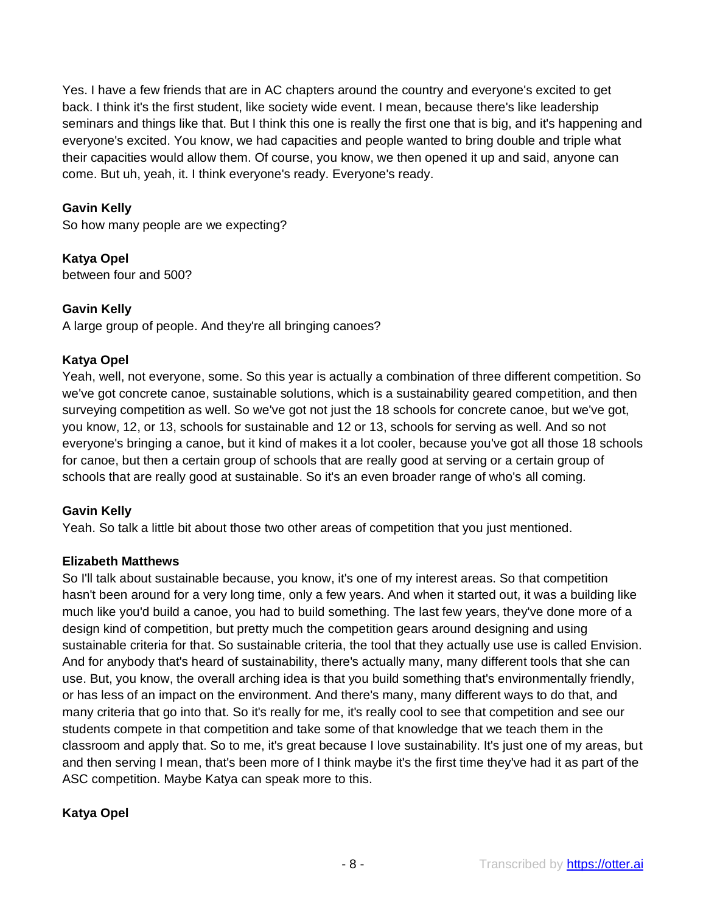Yes. I have a few friends that are in AC chapters around the country and everyone's excited to get back. I think it's the first student, like society wide event. I mean, because there's like leadership seminars and things like that. But I think this one is really the first one that is big, and it's happening and everyone's excited. You know, we had capacities and people wanted to bring double and triple what their capacities would allow them. Of course, you know, we then opened it up and said, anyone can come. But uh, yeah, it. I think everyone's ready. Everyone's ready.

# **Gavin Kelly**

So how many people are we expecting?

**Katya Opel**  between four and 500?

## **Gavin Kelly**

A large group of people. And they're all bringing canoes?

# **Katya Opel**

Yeah, well, not everyone, some. So this year is actually a combination of three different competition. So we've got concrete canoe, sustainable solutions, which is a sustainability geared competition, and then surveying competition as well. So we've got not just the 18 schools for concrete canoe, but we've got, you know, 12, or 13, schools for sustainable and 12 or 13, schools for serving as well. And so not everyone's bringing a canoe, but it kind of makes it a lot cooler, because you've got all those 18 schools for canoe, but then a certain group of schools that are really good at serving or a certain group of schools that are really good at sustainable. So it's an even broader range of who's all coming.

## **Gavin Kelly**

Yeah. So talk a little bit about those two other areas of competition that you just mentioned.

## **Elizabeth Matthews**

So I'll talk about sustainable because, you know, it's one of my interest areas. So that competition hasn't been around for a very long time, only a few years. And when it started out, it was a building like much like you'd build a canoe, you had to build something. The last few years, they've done more of a design kind of competition, but pretty much the competition gears around designing and using sustainable criteria for that. So sustainable criteria, the tool that they actually use use is called Envision. And for anybody that's heard of sustainability, there's actually many, many different tools that she can use. But, you know, the overall arching idea is that you build something that's environmentally friendly, or has less of an impact on the environment. And there's many, many different ways to do that, and many criteria that go into that. So it's really for me, it's really cool to see that competition and see our students compete in that competition and take some of that knowledge that we teach them in the classroom and apply that. So to me, it's great because I love sustainability. It's just one of my areas, but and then serving I mean, that's been more of I think maybe it's the first time they've had it as part of the ASC competition. Maybe Katya can speak more to this.

## **Katya Opel**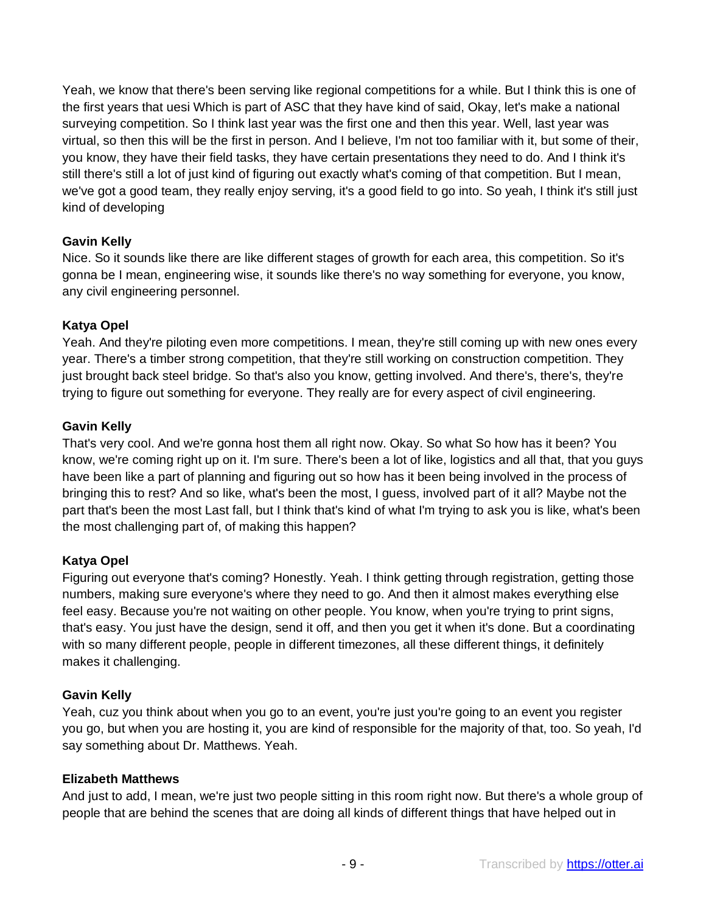Yeah, we know that there's been serving like regional competitions for a while. But I think this is one of the first years that uesi Which is part of ASC that they have kind of said, Okay, let's make a national surveying competition. So I think last year was the first one and then this year. Well, last year was virtual, so then this will be the first in person. And I believe, I'm not too familiar with it, but some of their, you know, they have their field tasks, they have certain presentations they need to do. And I think it's still there's still a lot of just kind of figuring out exactly what's coming of that competition. But I mean, we've got a good team, they really enjoy serving, it's a good field to go into. So yeah, I think it's still just kind of developing

## **Gavin Kelly**

Nice. So it sounds like there are like different stages of growth for each area, this competition. So it's gonna be I mean, engineering wise, it sounds like there's no way something for everyone, you know, any civil engineering personnel.

#### **Katya Opel**

Yeah. And they're piloting even more competitions. I mean, they're still coming up with new ones every year. There's a timber strong competition, that they're still working on construction competition. They just brought back steel bridge. So that's also you know, getting involved. And there's, there's, they're trying to figure out something for everyone. They really are for every aspect of civil engineering.

#### **Gavin Kelly**

That's very cool. And we're gonna host them all right now. Okay. So what So how has it been? You know, we're coming right up on it. I'm sure. There's been a lot of like, logistics and all that, that you guys have been like a part of planning and figuring out so how has it been being involved in the process of bringing this to rest? And so like, what's been the most, I guess, involved part of it all? Maybe not the part that's been the most Last fall, but I think that's kind of what I'm trying to ask you is like, what's been the most challenging part of, of making this happen?

## **Katya Opel**

Figuring out everyone that's coming? Honestly. Yeah. I think getting through registration, getting those numbers, making sure everyone's where they need to go. And then it almost makes everything else feel easy. Because you're not waiting on other people. You know, when you're trying to print signs, that's easy. You just have the design, send it off, and then you get it when it's done. But a coordinating with so many different people, people in different timezones, all these different things, it definitely makes it challenging.

#### **Gavin Kelly**

Yeah, cuz you think about when you go to an event, you're just you're going to an event you register you go, but when you are hosting it, you are kind of responsible for the majority of that, too. So yeah, I'd say something about Dr. Matthews. Yeah.

#### **Elizabeth Matthews**

And just to add, I mean, we're just two people sitting in this room right now. But there's a whole group of people that are behind the scenes that are doing all kinds of different things that have helped out in